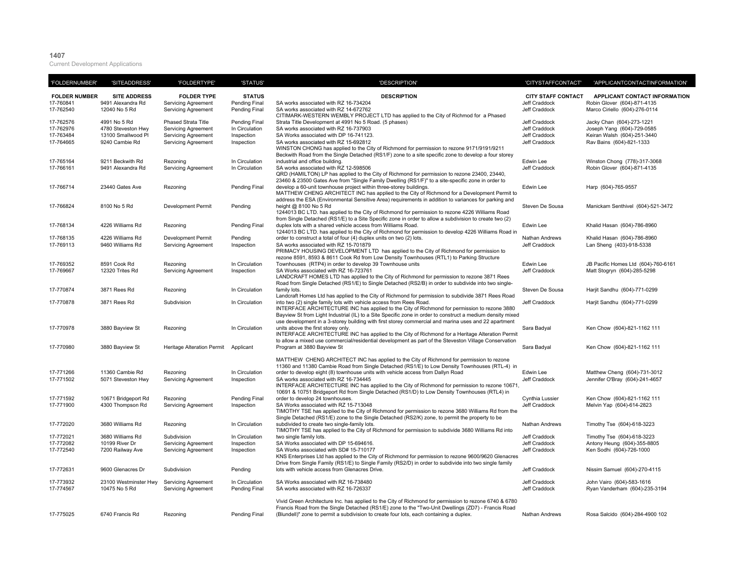## **1407**

Current Development Applications

| 'FOLDERNUMBER'                                   | 'SITEADDRESS'                                                              | 'FOLDERTYPE'                                                                                                  | 'STATUS'                                                           | 'DESCRIPTION'                                                                                                                                                                                                                                                                                                                                                                                                                                                                                                           | 'CITYSTAFFCONTACT'                                                             | 'APPLICANTCONTACTINFORMATION'                                                                                      |
|--------------------------------------------------|----------------------------------------------------------------------------|---------------------------------------------------------------------------------------------------------------|--------------------------------------------------------------------|-------------------------------------------------------------------------------------------------------------------------------------------------------------------------------------------------------------------------------------------------------------------------------------------------------------------------------------------------------------------------------------------------------------------------------------------------------------------------------------------------------------------------|--------------------------------------------------------------------------------|--------------------------------------------------------------------------------------------------------------------|
| <b>FOLDER NUMBER</b><br>17-760841<br>17-762540   | <b>SITE ADDRESS</b><br>9491 Alexandra Rd<br>12040 No 5 Rd                  | <b>FOLDER TYPE</b><br><b>Servicing Agreement</b><br><b>Servicing Agreement</b>                                | <b>STATUS</b><br>Pending Final<br>Pending Final                    | <b>DESCRIPTION</b><br>SA works associated with RZ 16-734204<br>SA works associated with RZ 14-672762<br>CITIMARK-WESTERN WEMBLY PROJECT LTD has applied to the City of Richmod for a Phased                                                                                                                                                                                                                                                                                                                             | <b>CITY STAFF CONTACT</b><br>Jeff Craddock<br><b>Jeff Craddock</b>             | APPLICANT CONTACT INFORMATION<br>Robin Glover (604)-871-4135<br>Marco Ciriello (604)-276-0114                      |
| 17-762576<br>17-762976<br>17-763484<br>17-764665 | 4991 No 5 Rd<br>4780 Steveston Hwy<br>13100 Smallwood Pl<br>9240 Cambie Rd | Phased Strata Title<br><b>Servicing Agreement</b><br><b>Servicing Agreement</b><br><b>Servicing Agreement</b> | <b>Pending Final</b><br>In Circulation<br>Inspection<br>Inspection | Strata Title Development at 4991 No 5 Road. (5 phases)<br>SA works associated with RZ 16-737903<br>SA Works associated with DP 16-741123.<br>SA works associated with RZ 15-692812<br>WINSTON CHONG has applied to the City of Richmond for permission to rezone 9171/9191/9211<br>Beckwith Road from the Single Detached (RS1/F) zone to a site specific zone to develop a four storey                                                                                                                                 | Jeff Craddock<br><b>Jeff Craddock</b><br>Jeff Craddock<br><b>Jeff Craddock</b> | Jacky Chan (604)-273-1221<br>Joseph Yang (604)-729-0585<br>Keiran Walsh (604)-251-3440<br>Rav Bains (604)-821-1333 |
| 17-765164<br>17-766161                           | 9211 Beckwith Rd<br>9491 Alexandra Rd                                      | Rezoning<br><b>Servicing Agreement</b>                                                                        | In Circulation<br>In Circulation                                   | industrial and office building.<br>SA works associated with RZ 12-598506<br>QRD (HAMILTON) LP has applied to the City of Richmond for permission to rezone 23400, 23440,<br>23460 & 23500 Gates Ave from "Single Family Dwelling (RS1/F)" to a site-specific zone in order to                                                                                                                                                                                                                                           | Edwin Lee<br>Jeff Craddock                                                     | Winston Chong (778)-317-3068<br>Robin Glover (604)-871-4135                                                        |
| 17-766714                                        | 23440 Gates Ave                                                            | Rezoning                                                                                                      | Pending Final                                                      | develop a 60-unit townhouse project within three-storey buildings.<br>MATTHEW CHENG ARCHITECT INC has applied to the City of Richmond for a Development Permit to<br>address the ESA (Environmental Sensitive Area) requirements in addition to variances for parking and                                                                                                                                                                                                                                               | Edwin Lee                                                                      | Harp (604)-765-9557                                                                                                |
| 17-766824                                        | 8100 No 5 Rd                                                               | <b>Development Permit</b>                                                                                     | Pending                                                            | height @ 8100 No 5 Rd<br>1244013 BC LTD. has applied to the City of Richmond for permission to rezone 4226 Williams Road<br>from Single Detached (RS1/E) to a Site Specific zone in order to allow a subdivision to create two (2)                                                                                                                                                                                                                                                                                      | Steven De Sousa                                                                | Manickam Senthivel (604)-521-3472                                                                                  |
| 17-768134                                        | 4226 Williams Rd                                                           | Rezoning                                                                                                      | <b>Pending Final</b>                                               | duplex lots with a shared vehicle access from Williams Road.<br>1244013 BC LTD. has applied to the City of Richmond for permission to develop 4226 Williams Road in                                                                                                                                                                                                                                                                                                                                                     | Edwin Lee                                                                      | Khalid Hasan (604)-786-8960                                                                                        |
| 17-768135<br>17-769113                           | 4226 Williams Rd<br>9460 Williams Rd                                       | <b>Development Permit</b><br><b>Servicing Agreement</b>                                                       | Pending<br>Inspection                                              | order to construct a total of four (4) duplex units on two (2) lots.<br>SA works associated with RZ 15-701879<br>PRIMACY HOUSING DEVELOPMENT LTD has applied to the City of Richmond for permission to<br>rezone 8591, 8593 & 8611 Cook Rd from Low Density Townhouses (RTL1) to Parking Structure                                                                                                                                                                                                                      | Nathan Andrews<br>Jeff Craddock                                                | Khalid Hasan (604)-786-8960<br>Lan Sheng (403)-918-5338                                                            |
| 17-769352<br>17-769667                           | 8591 Cook Rd<br>12320 Trites Rd                                            | Rezoning<br><b>Servicing Agreement</b>                                                                        | In Circulation<br>Inspection                                       | Townhouses (RTP4) in order to develop 39 Townhouse units<br>SA Works associated with RZ 16-723761<br>LANDCRAFT HOMES LTD has applied to the City of Richmond for permission to rezone 3871 Rees<br>Road from Single Detached (RS1/E) to Single Detached (RS2/B) in order to subdivide into two single-                                                                                                                                                                                                                  | Edwin Lee<br>Jeff Craddock                                                     | JB Pacific Homes Ltd (604)-760-6161<br>Matt Stogryn (604)-285-5298                                                 |
| 17-770874                                        | 3871 Rees Rd                                                               | Rezoning                                                                                                      | In Circulation                                                     | family lots.<br>Landcraft Homes Ltd has applied to the City of Richmond for permission to subdivide 3871 Rees Road                                                                                                                                                                                                                                                                                                                                                                                                      | Steven De Sousa                                                                | Harjit Sandhu (604)-771-0299                                                                                       |
| 17-770878                                        | 3871 Rees Rd                                                               | Subdivision                                                                                                   | In Circulation                                                     | into two (2) single family lots with vehicle access from Rees Road.<br>INTERFACE ARCHITECTURE INC has applied to the City of Richmond for permission to rezone 3880<br>Bayview St from Light Industrial (IL) to a Site Specific zone in order to construct a medium density mixed<br>use development in a 3-storey building with first storey commercial and marina uses and 22 apartment                                                                                                                               | <b>Jeff Craddock</b>                                                           | Harjit Sandhu (604)-771-0299                                                                                       |
| 17-770978                                        | 3880 Bayview St                                                            | Rezoning                                                                                                      | In Circulation                                                     | units above the first storey only.<br>INTERFACE ARCHITECTURE INC has applied to the City of Richmond for a Heritage Alteration Permit<br>to allow a mixed use commercial/residential development as part of the Steveston Village Conservation                                                                                                                                                                                                                                                                          | Sara Badyal                                                                    | Ken Chow (604)-821-1162 111                                                                                        |
| 17-770980                                        | 3880 Bayview St                                                            | Heritage Alteration Permit                                                                                    | Applicant                                                          | Program at 3880 Bayview St                                                                                                                                                                                                                                                                                                                                                                                                                                                                                              | Sara Badyal                                                                    | Ken Chow (604)-821-1162 111                                                                                        |
| 17-771266<br>17-771502                           | 11360 Cambie Rd<br>5071 Steveston Hwy                                      | Rezoning<br><b>Servicing Agreement</b>                                                                        | In Circulation<br>Inspection                                       | MATTHEW CHENG ARCHITECT INC has applied to the City of Richmond for permission to rezone<br>11360 and 11380 Cambie Road from Single Detached (RS1/E) to Low Density Townhouses (RTL-4) in<br>order to develop eight (8) townhouse units with vehicle access from Dallyn Road<br>SA works associated with RZ 16-734445<br>INTERFACE ARCHITECTURE INC has applied to the City of Richmond for permission to rezone 10671,<br>10691 & 10751 Bridgeport Rd from Single Detached (RS1/D) to Low Density Townhouses (RTL4) in | Edwin Lee<br>Jeff Craddock                                                     | Matthew Cheng (604)-731-3012<br>Jennifer O'Bray (604)-241-4657                                                     |
| 17-771592<br>17-771900                           | 10671 Bridgeport Rd<br>4300 Thompson Rd                                    | Rezoning<br><b>Servicing Agreement</b>                                                                        | <b>Pending Final</b><br>Inspection                                 | order to develop 24 townhouses.<br>SA Works associated with RZ 15-713048<br>TIMOTHY TSE has applied to the City of Richmond for permission to rezone 3680 Williams Rd from the<br>Single Detached (RS1/E) zone to the Single Detached (RS2/K) zone, to permit the property to be                                                                                                                                                                                                                                        | Cynthia Lussier<br><b>Jeff Craddock</b>                                        | Ken Chow (604)-821-1162 111<br>Melvin Yap (604)-614-2823                                                           |
| 17-772020                                        | 3680 Williams Rd                                                           | Rezoning                                                                                                      | In Circulation                                                     | subdivided to create two single-family lots.<br>TIMOTHY TSE has applied to the City of Richmond for permission to subdivide 3680 Williams Rd into                                                                                                                                                                                                                                                                                                                                                                       | <b>Nathan Andrews</b>                                                          | Timothy Tse (604)-618-3223                                                                                         |
| 17-772021<br>17-772082<br>17-772540              | 3680 Williams Rd<br>10199 River Dr<br>7200 Railway Ave                     | Subdivision<br><b>Servicing Agreement</b><br><b>Servicing Agreement</b>                                       | In Circulation<br>Inspection<br>Inspection                         | two single family lots.<br>SA Works associated with DP 15-694616.<br>SA Works associated with SD# 15-710177<br>KNS Enterprises Ltd has applied to the City of Richmond for permission to rezone 9600/9620 Glenacres<br>Drive from Single Family (RS1/E) to Single Family (RS2/D) in order to subdivide into two single family                                                                                                                                                                                           | Jeff Craddock<br>Jeff Craddock<br>Jeff Craddock                                | Timothy Tse (604)-618-3223<br>Antony Heung (604)-355-8805<br>Ken Sodhi (604)-726-1000                              |
| 17-772631                                        | 9600 Glenacres Dr                                                          | Subdivision                                                                                                   | Pending                                                            | lots with vehicle access from Glenacres Drive.                                                                                                                                                                                                                                                                                                                                                                                                                                                                          | <b>Jeff Craddock</b>                                                           | Nissim Samuel (604)-270-4115                                                                                       |
| 17-773932<br>17-774567                           | 23100 Westminster Hwy<br>10475 No 5 Rd                                     | <b>Servicing Agreement</b><br><b>Servicing Agreement</b>                                                      | In Circulation<br><b>Pending Final</b>                             | SA Works associated with RZ 16-738480<br>SA works associated with RZ 16-726337                                                                                                                                                                                                                                                                                                                                                                                                                                          | Jeff Craddock<br>Jeff Craddock                                                 | John Vairo (604)-583-1616<br>Ryan Vanderham (604)-235-3194                                                         |
| 17-775025                                        | 6740 Francis Rd                                                            | Rezoning                                                                                                      | Pending Final                                                      | Vivid Green Architecture Inc. has applied to the City of Richmond for permission to rezone 6740 & 6780<br>Francis Road from the Single Detached (RS1/E) zone to the "Two-Unit Dwellings (ZD7) - Francis Road<br>(Blundell)" zone to permit a subdivision to create four lots, each containing a duplex.                                                                                                                                                                                                                 | Nathan Andrews                                                                 | Rosa Salcido (604)-284-4900 102                                                                                    |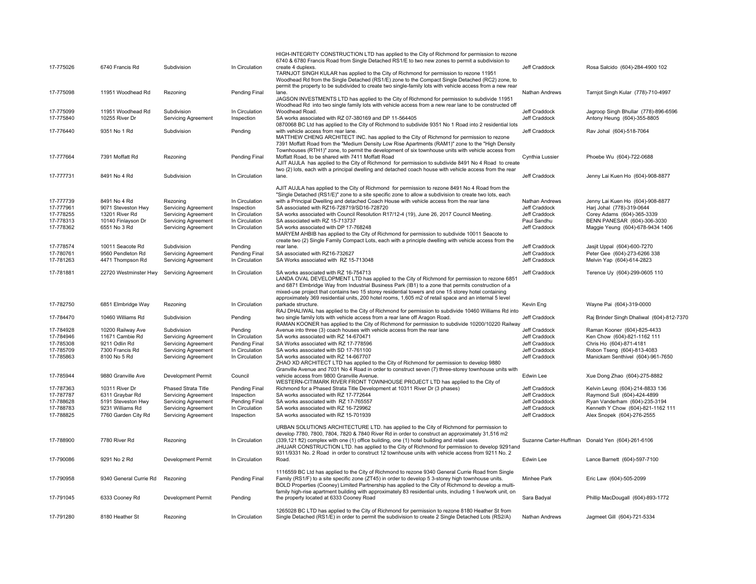| 17-775026                                                     | 6740 Francis Rd                                                                            | Subdivision                                                                                                                      | In Circulation                                                                     | HIGH-INTEGRITY CONSTRUCTION LTD has applied to the City of Richmond for permission to rezone<br>6740 & 6780 Francis Road from Single Detached RS1/E to two new zones to permit a subdivision to<br>create 4 duplexs.<br>TARNJOT SINGH KULAR has applied to the City of Richmond for permission to rezone 11951<br>Woodhead Rd from the Single Detached (RS1/E) zone to the Compact Single Detached (RC2) zone, to                                                                                                                                                                                                                                                                                                                        | Jeff Craddock                                                                    | Rosa Salcido (604)-284-4900 102                                                                                                                                |
|---------------------------------------------------------------|--------------------------------------------------------------------------------------------|----------------------------------------------------------------------------------------------------------------------------------|------------------------------------------------------------------------------------|------------------------------------------------------------------------------------------------------------------------------------------------------------------------------------------------------------------------------------------------------------------------------------------------------------------------------------------------------------------------------------------------------------------------------------------------------------------------------------------------------------------------------------------------------------------------------------------------------------------------------------------------------------------------------------------------------------------------------------------|----------------------------------------------------------------------------------|----------------------------------------------------------------------------------------------------------------------------------------------------------------|
| 17-775098                                                     | 11951 Woodhead Rd                                                                          | Rezoning                                                                                                                         | Pending Final                                                                      | permit the property to be subdivided to create two single-family lots with vehicle access from a new rear<br>lane.<br>JAGSON INVESTMENTS LTD has applied to the City of Richmond for permission to subdivide 11951<br>Woodhead Rd into two single family lots with vehicle access from a new rear lane to be constructed off                                                                                                                                                                                                                                                                                                                                                                                                             | Nathan Andrews                                                                   | Tarnjot Singh Kular (778)-710-4997                                                                                                                             |
| 17-775099<br>17-775840                                        | 11951 Woodhead Rd<br>10255 River Dr                                                        | Subdivision<br><b>Servicing Agreement</b>                                                                                        | In Circulation<br>Inspection                                                       | Woodhead Road.<br>SA works associated with RZ 07-380169 and DP 11-564405<br>0870068 BC Ltd has applied to the City of Richmond to subdivide 9351 No 1 Road into 2 residential lots                                                                                                                                                                                                                                                                                                                                                                                                                                                                                                                                                       | Jeff Craddock<br>Jeff Craddock                                                   | Jagroop Singh Bhullar (778)-896-6596<br>Antony Heung (604)-355-8805                                                                                            |
| 17-776440                                                     | 9351 No 1 Rd                                                                               | Subdivision                                                                                                                      | Pending                                                                            | with vehicle access from rear lane.<br>MATTHEW CHENG ARCHITECT INC. has applied to the City of Richmond for permission to rezone<br>7391 Moffatt Road from the "Medium Density Low Rise Apartments (RAM1)" zone to the "High Density<br>Townhouses (RTH1)" zone, to permit the development of six townhouse units with vehicle access from                                                                                                                                                                                                                                                                                                                                                                                               | Jeff Craddock                                                                    | Rav Johal (604)-518-7064                                                                                                                                       |
| 17-777664                                                     | 7391 Moffatt Rd                                                                            | Rezoning                                                                                                                         | Pending Final                                                                      | Moffatt Road, to be shared with 7411 Moffatt Road<br>AJIT AUJLA has applied to the City of Richmond for permission to subdivide 8491 No 4 Road to create<br>two (2) lots, each with a principal dwelling and detached coach house with vehicle access from the rear                                                                                                                                                                                                                                                                                                                                                                                                                                                                      | Cynthia Lussier                                                                  | Phoebe Wu (604)-722-0688                                                                                                                                       |
| 17-777731                                                     | 8491 No 4 Rd                                                                               | Subdivision                                                                                                                      | In Circulation                                                                     | lane.                                                                                                                                                                                                                                                                                                                                                                                                                                                                                                                                                                                                                                                                                                                                    | Jeff Craddock                                                                    | Jenny Lai Kuen Ho (604)-908-8877                                                                                                                               |
| 17-777739<br>17-777961<br>17-778255<br>17-778313<br>17-778362 | 8491 No 4 Rd<br>9071 Steveston Hwy<br>13201 River Rd<br>10140 Finlayson Dr<br>6551 No 3 Rd | Rezoning<br><b>Servicing Agreement</b><br><b>Servicing Agreement</b><br><b>Servicing Agreement</b><br><b>Servicing Agreement</b> | In Circulation<br>Inspection<br>In Circulation<br>In Circulation<br>In Circulation | AJIT AUJLA has applied to the City of Richmond for permission to rezone 8491 No 4 Road from the<br>"Single Detached (RS1/E)" zone to a site specific zone to allow a subdivision to create two lots, each<br>with a Principal Dwelling and detached Coach House with vehicle access from the rear lane<br>SA associated with RZ16-728719/SD16-728720<br>SA works associated with Council Resolution R17/12-4 (19), June 26, 2017 Council Meeting.<br>SA associated with RZ 15-713737<br>SA works associated with DP 17-768248<br>MARYEM AHBIB has applied to the City of Richmond for permission to subdivide 10011 Seacote to<br>create two (2) Single Family Compact Lots, each with a principle dwelling with vehicle access from the | Nathan Andrews<br>Jeff Craddock<br>Jeff Craddock<br>Paul Sandhu<br>Jeff Craddock | Jenny Lai Kuen Ho (604)-908-8877<br>Harj Johal (778)-319-0644<br>Corey Adams (604)-365-3339<br>BENN PANESAR (604)-306-3030<br>Maggie Yeung (604)-678-9434 1406 |
| 17-778574<br>17-780761<br>17-781263                           | 10011 Seacote Rd<br>9560 Pendleton Rd<br>4471 Thompson Rd                                  | Subdivision<br>Servicing Agreement<br><b>Servicing Agreement</b>                                                                 | Pending<br>Pending Final<br>In Circulation                                         | rear lane.<br>SA associated with RZ16-732627<br>SA Works associated with RZ 15-713048                                                                                                                                                                                                                                                                                                                                                                                                                                                                                                                                                                                                                                                    | Jeff Craddock<br>Jeff Craddock<br>Jeff Craddock                                  | Jasjit Uppal (604)-600-7270<br>Peter Gee (604)-273-6266 338<br>Melvin Yap (604)-614-2823                                                                       |
| 17-781881                                                     | 22720 Westminster Hwy                                                                      | <b>Servicing Agreement</b>                                                                                                       | In Circulation                                                                     | SA works associated with RZ 16-754713<br>LANDA OVAL DEVELOPMENT LTD has applied to the City of Richmond for permission to rezone 6851<br>and 6871 Elmbridge Way from Industrial Business Park (IB1) to a zone that permits construction of a<br>mixed-use project that contains two 15 storey residential towers and one 15 storey hotel containing<br>approximately 369 residential units, 200 hotel rooms, 1,605 m2 of retail space and an internal 5 level                                                                                                                                                                                                                                                                            | <b>Jeff Craddock</b>                                                             | Terence Uy (604)-299-0605 110                                                                                                                                  |
| 17-782750                                                     | 6851 Elmbridge Way                                                                         | Rezoning                                                                                                                         | In Circulation                                                                     | parkade structure.<br>RAJ DHALIWAL has applied to the City of Richmond for permission to subdivide 10460 Williams Rd into                                                                                                                                                                                                                                                                                                                                                                                                                                                                                                                                                                                                                | Kevin Eng                                                                        | Wayne Pai (604)-319-0000                                                                                                                                       |
| 17-784470                                                     | 10460 Williams Rd                                                                          | Subdivision                                                                                                                      | Pending                                                                            | two single family lots with vehicle access from a rear lane off Aragon Road.<br>RAMAN KOONER has applied to the City of Richmond for permission to subdivide 10200/10220 Railway                                                                                                                                                                                                                                                                                                                                                                                                                                                                                                                                                         | Jeff Craddock                                                                    | Raj Brinder Singh Dhaliwal (604)-812-7370                                                                                                                      |
| 17-784928                                                     | 10200 Railway Ave                                                                          | Subdivision                                                                                                                      | Pending                                                                            | Avenue into three (3) coach houses with vehicle access from the rear lane                                                                                                                                                                                                                                                                                                                                                                                                                                                                                                                                                                                                                                                                | Jeff Craddock                                                                    | Raman Kooner (604)-825-4433                                                                                                                                    |
| 17-784946<br>17-785308                                        | 11671 Cambie Rd<br>9211 Odlin Rd                                                           | <b>Servicing Agreement</b><br><b>Servicing Agreement</b>                                                                         | In Circulation<br>Pending Final                                                    | SA works associated with RZ 14-670471<br>SA Works associated with RZ 17-778596                                                                                                                                                                                                                                                                                                                                                                                                                                                                                                                                                                                                                                                           | Jeff Craddock<br>Jeff Craddock                                                   | Ken Chow (604)-821-1162 111<br>Chris Ho (604)-871-4181                                                                                                         |
| 17-785709                                                     | 7300 Francis Rd                                                                            | <b>Servicing Agreement</b>                                                                                                       | In Circulation                                                                     | SA works associated with SD 17-761100                                                                                                                                                                                                                                                                                                                                                                                                                                                                                                                                                                                                                                                                                                    | Jeff Craddock                                                                    | Robon Tseng (604)-813-4083                                                                                                                                     |
| 17-785863                                                     | 8100 No 5 Rd                                                                               | <b>Servicing Agreement</b>                                                                                                       | In Circulation                                                                     | SA works associated with RZ 14-667707<br>ZHAO XD ARCHITECT LTD has applied to the City of Richmond for permission to develop 9880<br>Granville Avenue and 7031 No 4 Road in order to construct seven (7) three-storey townhouse units with                                                                                                                                                                                                                                                                                                                                                                                                                                                                                               | Jeff Craddock                                                                    | Manickam Senthivel (604)-961-7650                                                                                                                              |
| 17-785944                                                     | 9880 Granville Ave                                                                         | Development Permit                                                                                                               | Council                                                                            | vehicle access from 9800 Granville Avenue.<br>WESTERN-CITIMARK RIVER FRONT TOWNHOUSE PROJECT LTD has applied to the City of                                                                                                                                                                                                                                                                                                                                                                                                                                                                                                                                                                                                              | Edwin Lee                                                                        | Xue Dong Zhao (604)-275-8882                                                                                                                                   |
| 17-787363                                                     | 10311 River Dr                                                                             | Phased Strata Title                                                                                                              | Pending Final                                                                      | Richmond for a Phased Strata Title Development at 10311 River Dr (3 phases)                                                                                                                                                                                                                                                                                                                                                                                                                                                                                                                                                                                                                                                              | Jeff Craddock                                                                    | Kelvin Leung (604)-214-8833 136                                                                                                                                |
| 17-787787<br>17-788628                                        | 6311 Graybar Rd<br>5191 Steveston Hwy                                                      | <b>Servicing Agreement</b><br><b>Servicing Agreement</b>                                                                         | Inspection<br>Pending Final                                                        | SA works associated with RZ 17-772644<br>SA works associated with RZ 17-765557                                                                                                                                                                                                                                                                                                                                                                                                                                                                                                                                                                                                                                                           | Jeff Craddock<br>Jeff Craddock                                                   | Raymond Sull (604)-424-4899<br>Ryan Vanderham (604)-235-3194                                                                                                   |
| 17-788783                                                     | 9231 Williams Rd                                                                           | <b>Servicing Agreement</b>                                                                                                       | In Circulation                                                                     | SA works associated with RZ 16-729962                                                                                                                                                                                                                                                                                                                                                                                                                                                                                                                                                                                                                                                                                                    | Jeff Craddock                                                                    | Kenneth Y Chow (604)-821-1162 111                                                                                                                              |
| 17-788825                                                     | 7760 Garden City Rd                                                                        | <b>Servicing Agreement</b>                                                                                                       | Inspection                                                                         | SA works associated with RZ 15-701939                                                                                                                                                                                                                                                                                                                                                                                                                                                                                                                                                                                                                                                                                                    | Jeff Craddock                                                                    | Alex Snopek (604)-276-2555                                                                                                                                     |
| 17-788900                                                     | 7780 River Rd                                                                              | Rezoning                                                                                                                         | In Circulation                                                                     | URBAN SOLUTIONS ARCHITECTURE LTD. has applied to the City of Richmond for permission to<br>develop 7780, 7800, 7804, 7820 & 7840 River Rd in order to construct an approximately 31,516 m2<br>(339,121 ft2) complex with one (1) office building, one (1) hotel building and retail uses.<br>JHUJAR CONSTRUCTION LTD. has applied to the City of Richmond for permission to develop 9291and<br>9311/9331 No. 2 Road in order to construct 12 townhouse units with vehicle access from 9211 No. 2                                                                                                                                                                                                                                         | Suzanne Carter-Huffman                                                           | Donald Yen (604)-261-6106                                                                                                                                      |
| 17-790086                                                     | 9291 No 2 Rd                                                                               | Development Permit                                                                                                               | In Circulation                                                                     | Road.                                                                                                                                                                                                                                                                                                                                                                                                                                                                                                                                                                                                                                                                                                                                    | Edwin Lee                                                                        | Lance Barnett (604)-597-7100                                                                                                                                   |
| 17-790958                                                     | 9340 General Currie Rd                                                                     | Rezoning                                                                                                                         | Pending Final                                                                      | 1116559 BC Ltd has applied to the City of Richmond to rezone 9340 General Currie Road from Single<br>Family (RS1/F) to a site specific zone (ZT45) in order to develop 5 3-storey high townhouse units.<br>BOLD Properties (Cooney) Limited Partnership has applied to the City of Richmond to develop a multi-<br>family high-rise apartment building with approximately 83 residential units, including 1 live/work unit, on                                                                                                                                                                                                                                                                                                           | Minhee Park                                                                      | Eric Law (604)-505-2099                                                                                                                                        |
| 17-791045                                                     | 6333 Cooney Rd                                                                             | <b>Development Permit</b>                                                                                                        | Pending                                                                            | the property located at 6333 Cooney Road                                                                                                                                                                                                                                                                                                                                                                                                                                                                                                                                                                                                                                                                                                 | Sara Badyal                                                                      | Phillip MacDougall (604)-893-1772                                                                                                                              |
| 17-791280                                                     | 8180 Heather St                                                                            | Rezoning                                                                                                                         | In Circulation                                                                     | 1265028 BC LTD has applied to the City of Richmond for permission to rezone 8180 Heather St from<br>Single Detached (RS1/E) in order to permit the subdivision to create 2 Single Detached Lots (RS2/A)                                                                                                                                                                                                                                                                                                                                                                                                                                                                                                                                  | Nathan Andrews                                                                   | Jagmeet Gill (604)-721-5334                                                                                                                                    |